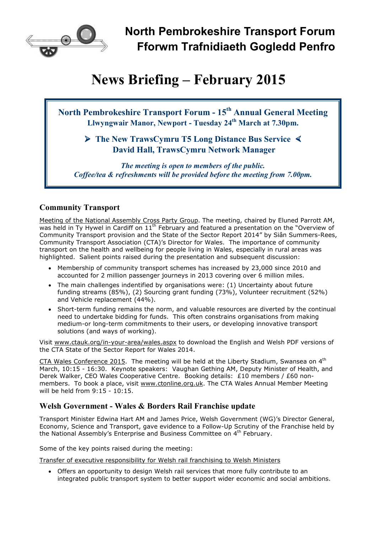

# **News Briefing – February 2015**

**North Pembrokeshire Transport Forum - 15th Annual General Meeting Llwyngwair Manor, Newport - Tuesday 24th March at 7.30pm.** 

## **The New TrawsCymru T5 Long Distance Bus Service < David Hall, TrawsCymru Network Manager**

*The meeting is open to members of the public. Coffee/tea & refreshments will be provided before the meeting from 7.00pm.*

## **Community Transport**

Meeting of the National Assembly Cross Party Group. The meeting, chaired by Eluned Parrott AM, was held in Ty Hywel in Cardiff on 11<sup>th</sup> February and featured a presentation on the "Overview of Community Transport provision and the State of the Sector Report 2014" by Siân Summers-Rees, Community Transport Association (CTA)'s Director for Wales. The importance of community transport on the health and wellbeing for people living in Wales, especially in rural areas was highlighted. Salient points raised during the presentation and subsequent discussion:

- Membership of community transport schemes has increased by 23,000 since 2010 and accounted for 2 million passenger journeys in 2013 covering over 6 million miles.
- The main challenges indentified by organisations were: (1) Uncertainty about future funding streams (85%), (2) Sourcing grant funding (73%), Volunteer recruitment (52%) and Vehicle replacement (44%).
- Short-term funding remains the norm, and valuable resources are diverted by the continual need to undertake bidding for funds. This often constrains organisations from making medium-or long-term commitments to their users, or developing innovative transport solutions (and ways of working).

Visit www.ctauk.org/in-your-area/wales.aspx to download the English and Welsh PDF versions of the CTA State of the Sector Report for Wales 2014.

CTA Wales Conference 2015. The meeting will be held at the Liberty Stadium, Swansea on 4<sup>th</sup> March, 10:15 - 16:30. Keynote speakers: Vaughan Gething AM, Deputy Minister of Health, and Derek Walker, CEO Wales Cooperative Centre. Booking details: £10 members / £60 nonmembers. To book a place, visit www.ctonline.org.uk. The CTA Wales Annual Member Meeting will be held from 9:15 - 10:15.

## **Welsh Government - Wales & Borders Rail Franchise update**

Transport Minister Edwina Hart AM and James Price, Welsh Government (WG)'s Director General, Economy, Science and Transport, gave evidence to a Follow-Up Scrutiny of the Franchise held by the National Assembly's Enterprise and Business Committee on 4th February.

Some of the key points raised during the meeting:

Transfer of executive responsibility for Welsh rail franchising to Welsh Ministers

• Offers an opportunity to design Welsh rail services that more fully contribute to an integrated public transport system to better support wider economic and social ambitions.